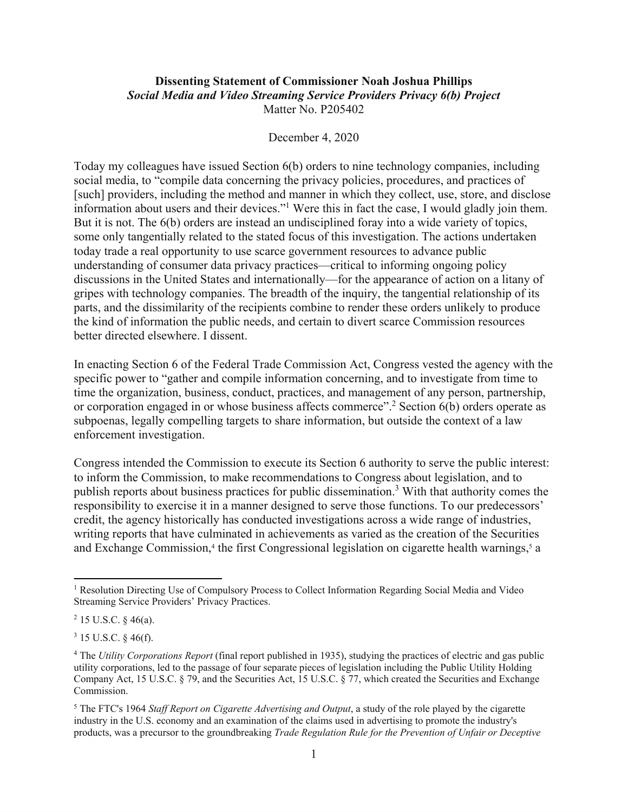## **Dissenting Statement of Commissioner Noah Joshua Phillips**  *Social Media and Video Streaming Service Providers Privacy 6(b) Project*

Matter No. P205402

## December 4, 2020

Today my colleagues have issued Section 6(b) orders to nine technology companies, including social media, to "compile data concerning the privacy policies, procedures, and practices of [such] providers, including the method and manner in which they collect, use, store, and disclose information about users and their devices."<sup>1</sup> Were this in fact the case, I would gladly join them. But it is not. The 6(b) orders are instead an undisciplined foray into a wide variety of topics, some only tangentially related to the stated focus of this investigation. The actions undertaken today trade a real opportunity to use scarce government resources to advance public understanding of consumer data privacy practices—critical to informing ongoing policy discussions in the United States and internationally—for the appearance of action on a litany of gripes with technology companies. The breadth of the inquiry, the tangential relationship of its parts, and the dissimilarity of the recipients combine to render these orders unlikely to produce the kind of information the public needs, and certain to divert scarce Commission resources better directed elsewhere. I dissent.

In enacting Section 6 of the Federal Trade Commission Act, Congress vested the agency with the specific power to "gather and compile information concerning, and to investigate from time to time the organization, business, conduct, practices, and management of any person, partnership, or corporation engaged in or whose business affects commerce".<sup>2</sup> Section  $6(b)$  orders operate as subpoenas, legally compelling targets to share information, but outside the context of a law enforcement investigation.

Congress intended the Commission to execute its Section 6 authority to serve the public interest: to inform the Commission, to make recommendations to Congress about legislation, and to publish reports about business practices for public dissemination.<sup>3</sup> With that authority comes the responsibility to exercise it in a manner designed to serve those functions. To our predecessors' credit, the agency historically has conducted investigations across a wide range of industries, writing reports that have culminated in achievements as varied as the creation of the Securities and Exchange Commission,<sup>4</sup> the first Congressional legislation on cigarette health warnings,<sup>5</sup> a

<sup>&</sup>lt;sup>1</sup> Resolution Directing Use of Compulsory Process to Collect Information Regarding Social Media and Video Streaming Service Providers' Privacy Practices.

 $2$  15 U.S.C. § 46(a).

<sup>3 15</sup> U.S.C. § 46(f).

 Company Act, 15 U.S.C. § 79, and the Securities Act, 15 U.S.C. § 77, which created the Securities and Exchange <sup>4</sup> The *Utility Corporations Report* (final report published in 1935), studying the practices of electric and gas public utility corporations, led to the passage of four separate pieces of legislation including the Public Utility Holding Commission.

<sup>5</sup> The FTC's 1964 *Staff Report on Cigarette Advertising and Output*, a study of the role played by the cigarette industry in the U.S. economy and an examination of the claims used in advertising to promote the industry's products, was a precursor to the groundbreaking *Trade Regulation Rule for the Prevention of Unfair or Deceptive*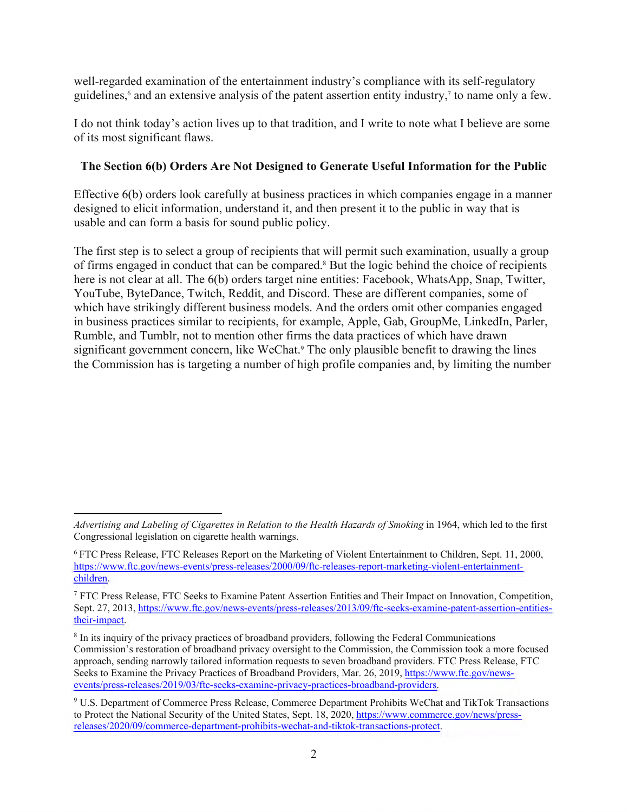well-regarded examination of the entertainment industry's compliance with its self-regulatory guidelines,<sup>6</sup> and an extensive analysis of the patent assertion entity industry,<sup>7</sup> to name only a few.

I do not think today's action lives up to that tradition, and I write to note what I believe are some of its most significant flaws.

## **The Section 6(b) Orders Are Not Designed to Generate Useful Information for the Public**

Effective 6(b) orders look carefully at business practices in which companies engage in a manner designed to elicit information, understand it, and then present it to the public in way that is usable and can form a basis for sound public policy.

The first step is to select a group of recipients that will permit such examination, usually a group of firms engaged in conduct that can be compared.<sup>8</sup> But the logic behind the choice of recipients here is not clear at all. The 6(b) orders target nine entities: Facebook, WhatsApp, Snap, Twitter, YouTube, ByteDance, Twitch, Reddit, and Discord. These are different companies, some of which have strikingly different business models. And the orders omit other companies engaged in business practices similar to recipients, for example, Apple, Gab, GroupMe, LinkedIn, Parler, Rumble, and Tumblr, not to mention other firms the data practices of which have drawn significant government concern, like WeChat.<sup>9</sup> The only plausible benefit to drawing the lines the Commission has is targeting a number of high profile companies and, by limiting the number

 $\overline{a}$ 

*Advertising and Labeling of Cigarettes in Relation to the Health Hazards of Smoking* in 1964, which led to the first Congressional legislation on cigarette health warnings.

 6 FTC Press Release, FTC Releases Report on the Marketing of Violent Entertainment to Children, Sept. 11, 2000, https://www.ftc.gov/news-events/press-releases/2000/09/ftc-releases-report-marketing-violent-entertainmentchildren.

<sup>7</sup> FTC Press Release, FTC Seeks to Examine Patent Assertion Entities and Their Impact on Innovation, Competition, [Sept. 27, 2013, https://www.ftc.gov/news-events/press-releases/2013/09/ftc-seeks-examine-patent-assertion-entities](https://www.ftc.gov/news-events/press-releases/2013/09/ftc-seeks-examine-patent-assertion-entities-their-impact)their-impact.

Seeks to Examine the Privacy Practices of Broadband Providers, Mar. 26, 2019, https://www.ftc.gov/news-<sup>8</sup> In its inquiry of the privacy practices of broadband providers, following the Federal Communications Commission's restoration of broadband privacy oversight to the Commission, the Commission took a more focused approach, sending narrowly tailored information requests to seven broadband providers. FTC Press Release, FTC events/press-releases/2019/03/ftc-seeks-examine-privacy-practices-broadband-providers.

<sup>9</sup> U.S. Department of Commerce Press Release, Commerce Department Prohibits WeChat and TikTok Transactions to Protect the National Security of the United States, Sept. 18, 2020, https://www.commerce.gov/news/pressreleases/2020/09/commerce-department-prohibits-wechat-and-tiktok-transactions-protect.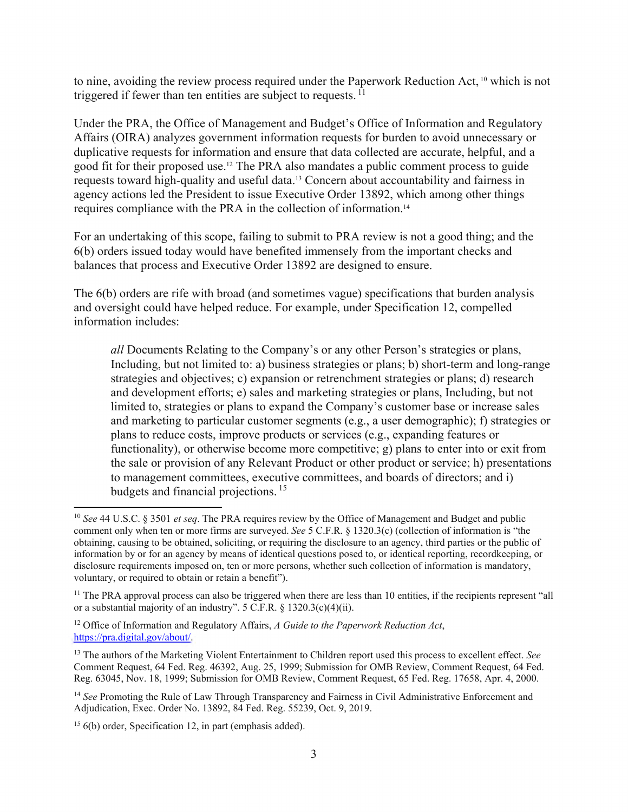triggered if fewer than ten entities are subject to requests.  $11$ to nine, avoiding the review process required under the Paperwork Reduction Act, 10 which is not

Under the PRA, the Office of Management and Budget's Office of Information and Regulatory Affairs (OIRA) analyzes government information requests for burden to avoid unnecessary or duplicative requests for information and ensure that data collected are accurate, helpful, and a good fit for their proposed use.12 The PRA also mandates a public comment process to guide requests toward high-quality and useful data.13 Concern about accountability and fairness in agency actions led the President to issue Executive Order 13892, which among other things requires compliance with the PRA in the collection of [information.14](https://information.14) 

For an undertaking of this scope, failing to submit to PRA review is not a good thing; and the 6(b) orders issued today would have benefited immensely from the important checks and balances that process and Executive Order 13892 are designed to ensure.

 information includes: The 6(b) orders are rife with broad (and sometimes vague) specifications that burden analysis and oversight could have helped reduce. For example, under Specification 12, compelled

budgets and financial projections.<sup>15</sup> *all* Documents Relating to the Company's or any other Person's strategies or plans, Including, but not limited to: a) business strategies or plans; b) short-term and long-range strategies and objectives; c) expansion or retrenchment strategies or plans; d) research and development efforts; e) sales and marketing strategies or plans, Including, but not limited to, strategies or plans to expand the Company's customer base or increase sales and marketing to particular customer segments (e.g., a user demographic); f) strategies or plans to reduce costs, improve products or services (e.g., expanding features or functionality), or otherwise become more competitive; g) plans to enter into or exit from the sale or provision of any Relevant Product or other product or service; h) presentations to management committees, executive committees, and boards of directors; and i)

12 Office of Information and Regulatory Affairs, *A Guide to the Paperwork Reduction Act*, <https://pra.digital.gov/about>/.

 $\overline{a}$ 

 obtaining, causing to be obtained, soliciting, or requiring the disclosure to an agency, third parties or the public of voluntary, or required to obtain or retain a benefit"). <sup>10</sup>*See* 44 U.S.C. § 3501 *et seq*. The PRA requires review by the Office of Management and Budget and public comment only when ten or more firms are surveyed. *See* 5 C.F.R. § 1320.3(c) (collection of information is "the information by or for an agency by means of identical questions posed to, or identical reporting, recordkeeping, or disclosure requirements imposed on, ten or more persons, whether such collection of information is mandatory,

<sup>&</sup>lt;sup>11</sup> The PRA approval process can also be triggered when there are less than 10 entities, if the recipients represent "all or a substantial majority of an industry". 5 C.F.R. § 1320.3(c)(4)(ii).

<sup>13</sup> The authors of the Marketing Violent Entertainment to Children report used this process to excellent effect. *See*  Comment Request, 64 Fed. Reg. 46392, Aug. 25, 1999; Submission for OMB Review, Comment Request, 64 Fed. Reg. 63045, Nov. 18, 1999; Submission for OMB Review, Comment Request, 65 Fed. Reg. 17658, Apr. 4, 2000.

 Adjudication, Exec. Order No. 13892, 84 Fed. Reg. 55239, Oct. 9, 2019. <sup>14</sup>*See* Promoting the Rule of Law Through Transparency and Fairness in Civil Administrative Enforcement and

<sup>&</sup>lt;sup>15</sup> 6(b) order, Specification 12, in part (emphasis added).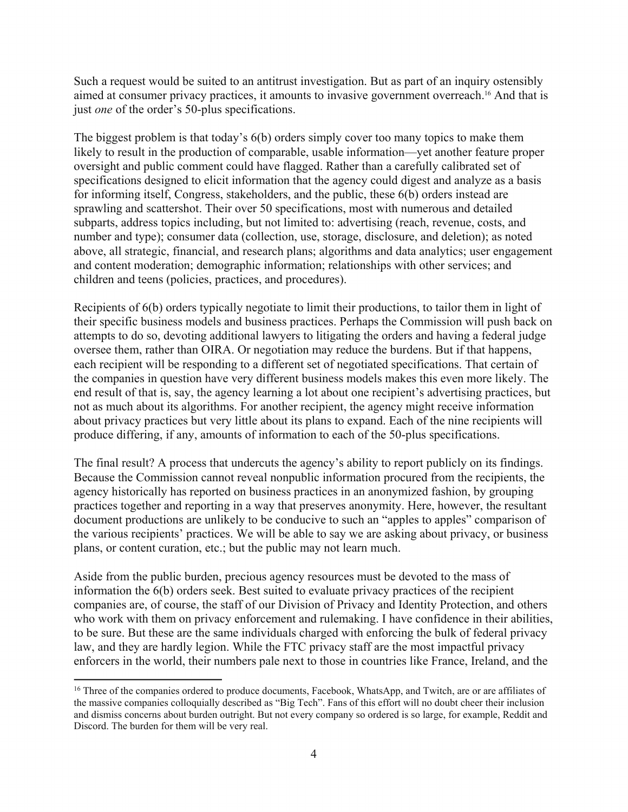Such a request would be suited to an antitrust investigation. But as part of an inquiry ostensibly aimed at consumer privacy practices, it amounts to invasive government [overreach.16](https://overreach.16) And that is just *one* of the order's 50-plus specifications.

The biggest problem is that today's 6(b) orders simply cover too many topics to make them likely to result in the production of comparable, usable information—yet another feature proper oversight and public comment could have flagged. Rather than a carefully calibrated set of specifications designed to elicit information that the agency could digest and analyze as a basis for informing itself, Congress, stakeholders, and the public, these 6(b) orders instead are sprawling and scattershot. Their over 50 specifications, most with numerous and detailed subparts, address topics including, but not limited to: advertising (reach, revenue, costs, and number and type); consumer data (collection, use, storage, disclosure, and deletion); as noted above, all strategic, financial, and research plans; algorithms and data analytics; user engagement and content moderation; demographic information; relationships with other services; and children and teens (policies, practices, and procedures).

Recipients of 6(b) orders typically negotiate to limit their productions, to tailor them in light of their specific business models and business practices. Perhaps the Commission will push back on attempts to do so, devoting additional lawyers to litigating the orders and having a federal judge oversee them, rather than OIRA. Or negotiation may reduce the burdens. But if that happens, each recipient will be responding to a different set of negotiated specifications. That certain of the companies in question have very different business models makes this even more likely. The end result of that is, say, the agency learning a lot about one recipient's advertising practices, but not as much about its algorithms. For another recipient, the agency might receive information about privacy practices but very little about its plans to expand. Each of the nine recipients will produce differing, if any, amounts of information to each of the 50-plus specifications.

The final result? A process that undercuts the agency's ability to report publicly on its findings. Because the Commission cannot reveal nonpublic information procured from the recipients, the agency historically has reported on business practices in an anonymized fashion, by grouping practices together and reporting in a way that preserves anonymity. Here, however, the resultant document productions are unlikely to be conducive to such an "apples to apples" comparison of the various recipients' practices. We will be able to say we are asking about privacy, or business plans, or content curation, etc.; but the public may not learn much.

Aside from the public burden, precious agency resources must be devoted to the mass of information the 6(b) orders seek. Best suited to evaluate privacy practices of the recipient companies are, of course, the staff of our Division of Privacy and Identity Protection, and others who work with them on privacy enforcement and rulemaking. I have confidence in their abilities, to be sure. But these are the same individuals charged with enforcing the bulk of federal privacy law, and they are hardly legion. While the FTC privacy staff are the most impactful privacy enforcers in the world, their numbers pale next to those in countries like France, Ireland, and the

 $\overline{a}$ 

 and dismiss concerns about burden outright. But not every company so ordered is so large, for example, Reddit and <sup>16</sup> Three of the companies ordered to produce documents, Facebook, WhatsApp, and Twitch, are or are affiliates of the massive companies colloquially described as "Big Tech". Fans of this effort will no doubt cheer their inclusion Discord. The burden for them will be very real.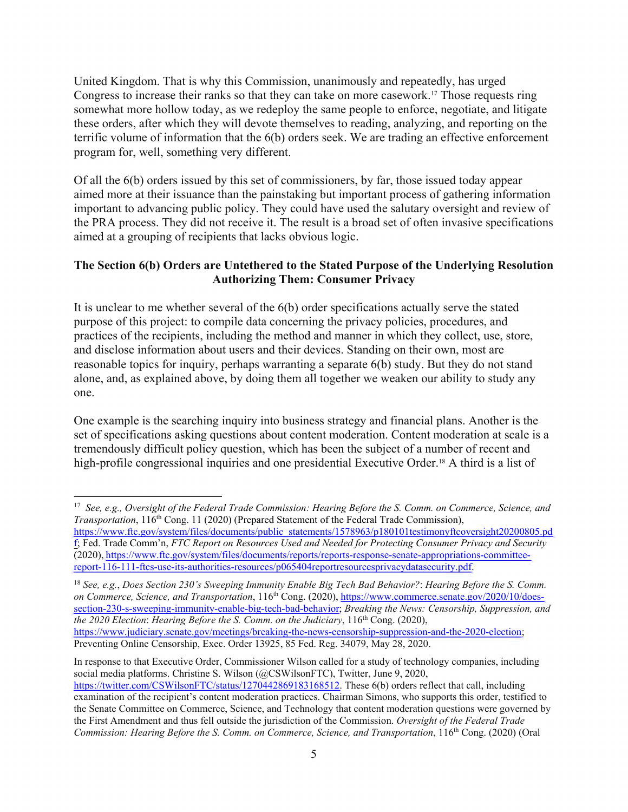United Kingdom. That is why this Commission, unanimously and repeatedly, has urged Congress to increase their ranks so that they can take on more [casework.17](https://casework.17) Those requests ring somewhat more hollow today, as we redeploy the same people to enforce, negotiate, and litigate these orders, after which they will devote themselves to reading, analyzing, and reporting on the terrific volume of information that the 6(b) orders seek. We are trading an effective enforcement program for, well, something very different.

Of all the 6(b) orders issued by this set of commissioners, by far, those issued today appear aimed more at their issuance than the painstaking but important process of gathering information important to advancing public policy. They could have used the salutary oversight and review of the PRA process. They did not receive it. The result is a broad set of often invasive specifications aimed at a grouping of recipients that lacks obvious logic.

## **The Section 6(b) Orders are Untethered to the Stated Purpose of the Underlying Resolution Authorizing Them: Consumer Privacy**

It is unclear to me whether several of the 6(b) order specifications actually serve the stated purpose of this project: to compile data concerning the privacy policies, procedures, and practices of the recipients, including the method and manner in which they collect, use, store, and disclose information about users and their devices. Standing on their own, most are reasonable topics for inquiry, perhaps warranting a separate 6(b) study. But they do not stand alone, and, as explained above, by doing them all together we weaken our ability to study any one.

One example is the searching inquiry into business strategy and financial plans. Another is the set of specifications asking questions about content moderation. Content moderation at scale is a tremendously difficult policy question, which has been the subject of a number of recent and high-profile congressional inquiries and one presidential Executive Order.<sup>18</sup> A third is a list of

In response to that Executive Order, Commissioner Wilson called for a study of technology companies, including social media platforms. Christine S. Wilson (@CSWilsonFTC), Twitter, June 9, 2020, https://twitter.com/CSWilsonFTC/status/1270442869183168512. These 6(b) orders reflect that call, including examination of the recipient's content moderation practices. Chairman Simons, who supports this order, testified to

 $\overline{a}$ *Transportation*, 116<sup>th</sup> Cong. 11 (2020) (Prepared Statement of the Federal Trade Commission), <sup>17</sup> *See, e.g., Oversight of the Federal Trade Commission: Hearing Before the S. Comm. on Commerce, Science, and* 

 f; Fed. Trade Comm'n, *FTC Report on Resources Used and Needed for Protecting Consumer Privacy and Security*  https://www.ftc.gov/system/files/documents/public\_statements/1578963/p180101testimonyftcoversight20200805.pd (2020), https://www.ftc.gov/system/files/documents/reports/reports-response-senate-appropriations-committeereport-116-111-ftcs-use-its-authorities-resources/p065404reportresourcesprivacydatasecurity.pdf.

on Commerce, Science, and Transportation, 116<sup>th</sup> Cong. (2020), https://www.commerce.senate.gov/2020/10/doessection-230-s-sweeping-immunity-enable-big-tech-bad-behavior; *Breaking the News: Censorship, Suppression, and the 2020 Election: Hearing Before the S. Comm. on the Judiciary*, 116<sup>th</sup> Cong. (2020), https://www.judiciary.senate.gov/meetings/breaking-the-news-censorship-suppression-and-the-2020-election; Preventing Online Censorship, Exec. Order 13925, 85 Fed. Reg. 34079, May 28, 2020. <sup>18</sup>*See, e.g.*, *Does Section 230's Sweeping Immunity Enable Big Tech Bad Behavior?*: *Hearing Before the S. Comm.* 

the Senate Committee on Commerce, Science, and Technology that content moderation questions were governed by the First Amendment and thus fell outside the jurisdiction of the Commission. *Oversight of the Federal Trade Commission: Hearing Before the S. Comm. on Commerce, Science, and Transportation*, 116th Cong. (2020) (Oral